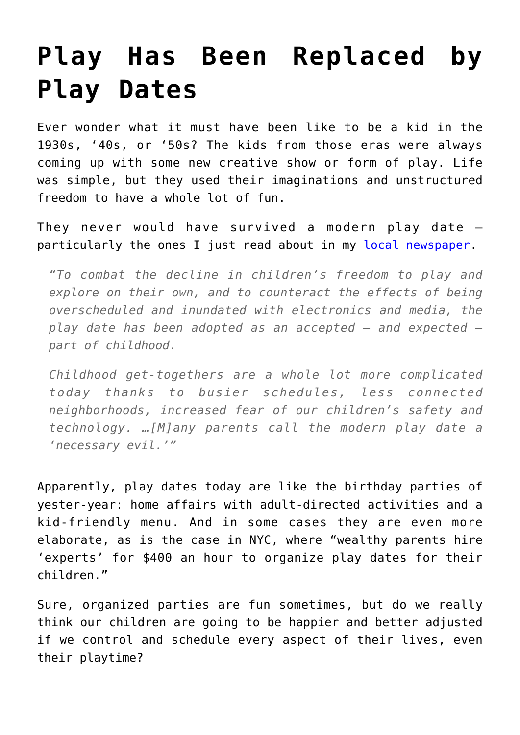## **[Play Has Been Replaced by](https://intellectualtakeout.org/2015/09/play-has-been-replaced-by-play-dates/) [Play Dates](https://intellectualtakeout.org/2015/09/play-has-been-replaced-by-play-dates/)**

Ever wonder what it must have been like to be a kid in the 1930s, '40s, or '50s? The kids from those eras were always coming up with some new creative show or form of play. Life was simple, but they used their imaginations and unstructured freedom to have a whole lot of fun.

They never would have survived a modern play date – particularly the ones I just read about in my [local newspaper](http://www.startribune.com/child-s-play-gets-complicated-with-the-modern-play-date/328553441/#1).

*"To combat the decline in children's freedom to play and explore on their own, and to counteract the effects of being overscheduled and inundated with electronics and media, the play date has been adopted as an accepted — and expected part of childhood.*

*Childhood get-togethers are a whole lot more complicated today thanks to busier schedules, less connected neighborhoods, increased fear of our children's safety and technology. …[M]any parents call the modern play date a 'necessary evil.'"*

Apparently, play dates today are like the birthday parties of yester-year: home affairs with adult-directed activities and a kid-friendly menu. And in some cases they are even more elaborate, as is the case in NYC, where "wealthy parents hire 'experts' for \$400 an hour to organize play dates for their children."

Sure, organized parties are fun sometimes, but do we really think our children are going to be happier and better adjusted if we control and schedule every aspect of their lives, even their playtime?